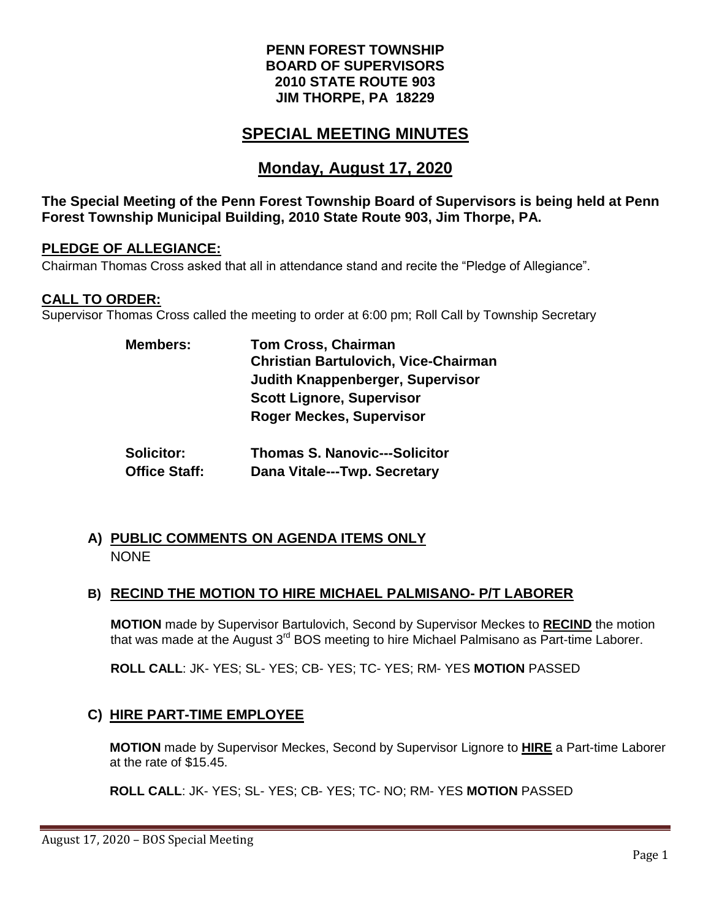## **PENN FOREST TOWNSHIP BOARD OF SUPERVISORS 2010 STATE ROUTE 903 JIM THORPE, PA 18229**

# **SPECIAL MEETING MINUTES**

# **Monday, August 17, 2020**

### **The Special Meeting of the Penn Forest Township Board of Supervisors is being held at Penn Forest Township Municipal Building, 2010 State Route 903, Jim Thorpe, PA.**

#### **PLEDGE OF ALLEGIANCE:**

Chairman Thomas Cross asked that all in attendance stand and recite the "Pledge of Allegiance".

## **CALL TO ORDER:**

Supervisor Thomas Cross called the meeting to order at 6:00 pm; Roll Call by Township Secretary

| <b>Members:</b> | <b>Tom Cross, Chairman</b>                  |
|-----------------|---------------------------------------------|
|                 | <b>Christian Bartulovich, Vice-Chairman</b> |
|                 | <b>Judith Knappenberger, Supervisor</b>     |
|                 | <b>Scott Lignore, Supervisor</b>            |
|                 | <b>Roger Meckes, Supervisor</b>             |
|                 |                                             |
|                 |                                             |

| <b>Solicitor:</b>    | <b>Thomas S. Nanovic---Solicitor</b> |
|----------------------|--------------------------------------|
| <b>Office Staff:</b> | Dana Vitale---Twp. Secretary         |

# **A) PUBLIC COMMENTS ON AGENDA ITEMS ONLY NONE**

## **B) RECIND THE MOTION TO HIRE MICHAEL PALMISANO- P/T LABORER**

**MOTION** made by Supervisor Bartulovich, Second by Supervisor Meckes to **RECIND** the motion that was made at the August 3<sup>rd</sup> BOS meeting to hire Michael Palmisano as Part-time Laborer.

**ROLL CALL**: JK- YES; SL- YES; CB- YES; TC- YES; RM- YES **MOTION** PASSED

# **C) HIRE PART-TIME EMPLOYEE**

**MOTION** made by Supervisor Meckes, Second by Supervisor Lignore to **HIRE** a Part-time Laborer at the rate of \$15.45.

**ROLL CALL**: JK- YES; SL- YES; CB- YES; TC- NO; RM- YES **MOTION** PASSED